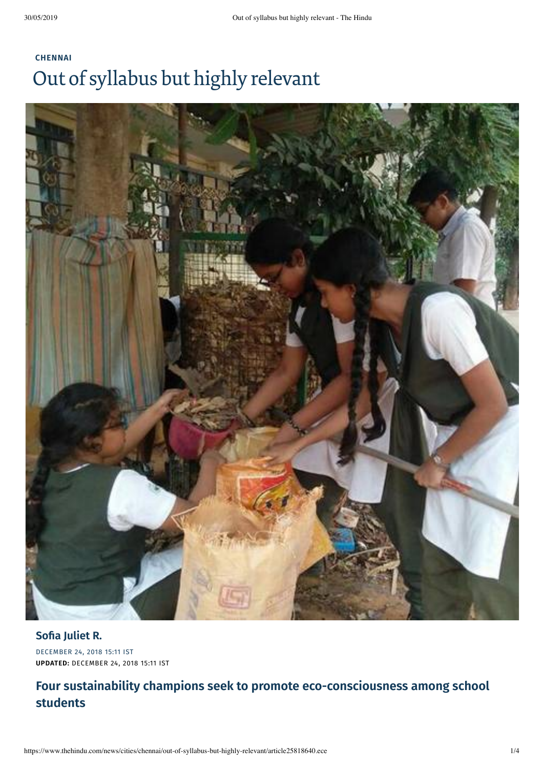# **[CHENNAI](https://www.thehindu.com/news/cities/chennai/)** Out of syllabus but highly relevant



DECEMBER 24, 2018 15:11 IST **UPDATED:** DECEMBER 24, 2018 15:11 IST

### **Four sustainability champions seek to promote eco-consciousness among school students**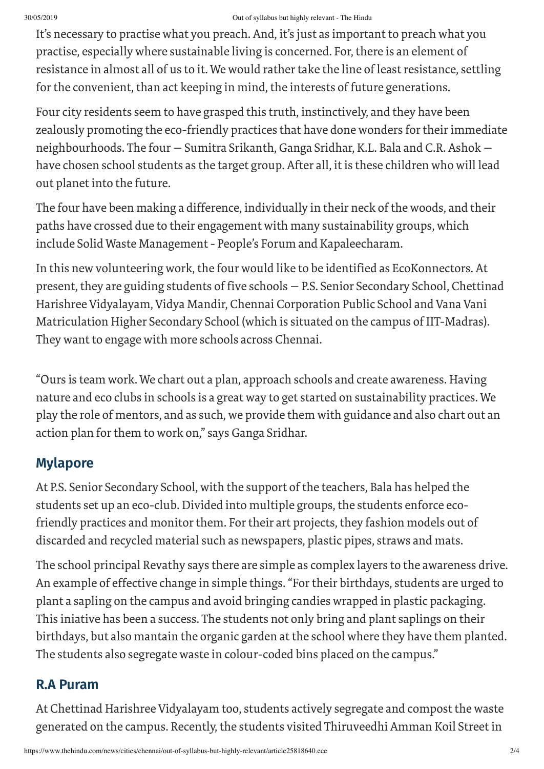#### 30/05/2019 Out of syllabus but highly relevant - The Hindu

It's necessary to practise what you preach. And, it's just as important to preach what you practise, especially where sustainable living is concerned. For, there is an element of resistance in almost all of us to it. We would rather take the line of least resistance, settling for the convenient, than act keeping in mind, the interests of future generations.

Four city residents seem to have grasped this truth, instinctively, and they have been zealously promoting the eco-friendly practices that have done wonders for their immediate neighbourhoods. The four — Sumitra Srikanth, Ganga Sridhar, K.L. Bala and C.R. Ashok have chosen school students as the target group. After all, it is these children who will lead out planet into the future.

The four have been making a difference, individually in their neck of the woods, and their paths have crossed due to their engagement with many sustainability groups, which include Solid Waste Management- People's Forum and Kapaleecharam.

In this new volunteering work, the four would like to be identified as EcoKonnectors. At present, they are guiding students of five schools — P.S. Senior Secondary School, Chettinad Harishree Vidyalayam, Vidya Mandir, Chennai Corporation Public School and Vana Vani Matriculation Higher Secondary School (which is situated on the campus of IIT-Madras). They want to engage with more schools across Chennai.

"Ours is team work. We chart out a plan, approach schools and create awareness. Having nature and eco clubs in schools is a great way to get started on sustainability practices. We play the role of mentors, and as such, we provide them with guidance and also chart out an action plan for them to work on," says Ganga Sridhar.

### **Mylapore**

At P.S. Senior Secondary School, with the support of the teachers, Bala has helped the students set up an eco-club. Divided into multiple groups, the students enforce ecofriendly practices and monitor them. For their art projects, they fashion models out of discarded and recycled material such as newspapers, plastic pipes, straws and mats.

The school principal Revathy says there are simple as complex layers to the awareness drive. An example of effective change in simple things."Fortheir birthdays, students are urged to plant a sapling on the campus and avoid bringing candies wrapped in plastic packaging. This iniative has been a success. The students not only bring and plant saplings on their birthdays, but also mantain the organic garden at the school where they have them planted. The students also segregate waste in colour-coded bins placed on the campus."

### **R.A Puram**

At Chettinad Harishree Vidyalayam too, students actively segregate and compost the waste generated on the campus. Recently, the students visited Thiruveedhi Amman Koil Street in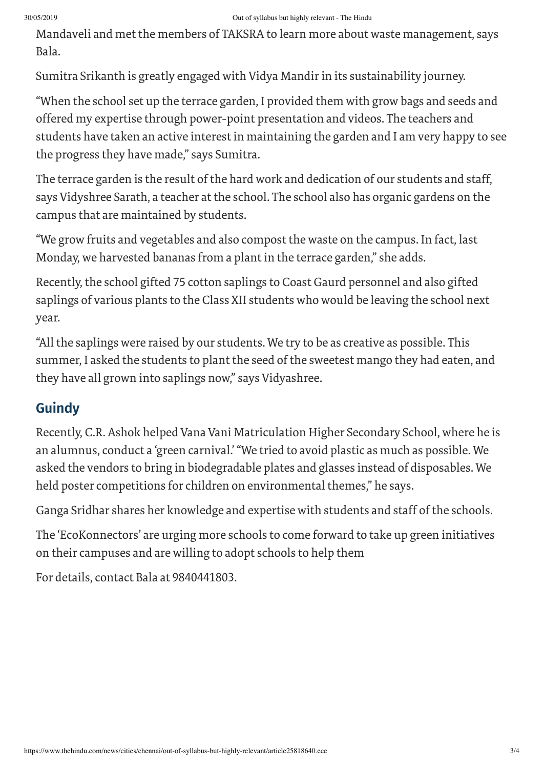#### 30/05/2019 Out of syllabus but highly relevant - The Hindu

Mandaveli and met the members of TAKSRA to learn more about waste management, says Bala.

Sumitra Srikanth is greatly engaged with Vidya Mandirin its sustainability journey.

"When the school set up the terrace garden, I provided them with grow bags and seeds and offered my expertise through power-point presentation and videos. The teachers and students have taken an active interest in maintaining the garden and I am very happy to see the progress they have made," says Sumitra.

The terrace garden is the result of the hard work and dedication of our students and staff, says Vidyshree Sarath, a teacher at the school. The school also has organic gardens on the campus that are maintained by students.

"We grow fruits and vegetables and also compost the waste on the campus. In fact, last Monday, we harvested bananas from a plant in the terrace garden," she adds.

Recently, the school gifted 75 cotton saplings to Coast Gaurd personnel and also gifted saplings of various plants to the Class XII students who would be leaving the school next year.

"All the saplings were raised by our students. We try to be as creative as possible. This summer, I asked the students to plant the seed of the sweetest mango they had eaten, and they have all grown into saplings now," says Vidyashree.

## **Guindy**

Recently, C.R. Ashok helped Vana Vani Matriculation Higher Secondary School, where he is an alumnus, conduct a 'green carnival.'"We tried to avoid plastic as much as possible. We asked the vendors to bring in biodegradable plates and glasses instead of disposables. We held poster competitions for children on environmental themes," he says.

Ganga Sridhar shares her knowledge and expertise with students and staff of the schools.

The 'EcoKonnectors' are urging more schools to come forward to take up green initiatives on their campuses and are willing to adopt schools to help them

For details, contact Bala at 9840441803.